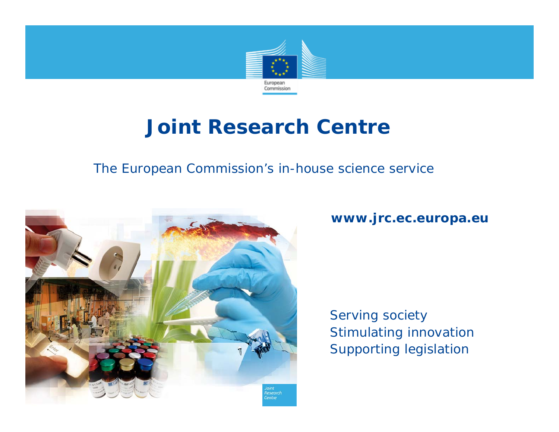

# **Joint Research Centre**

#### The European Commission's in-house science service



**www.jrc.ec.europa.eu**

*Serving society Stimulating innovation Supporting legislation*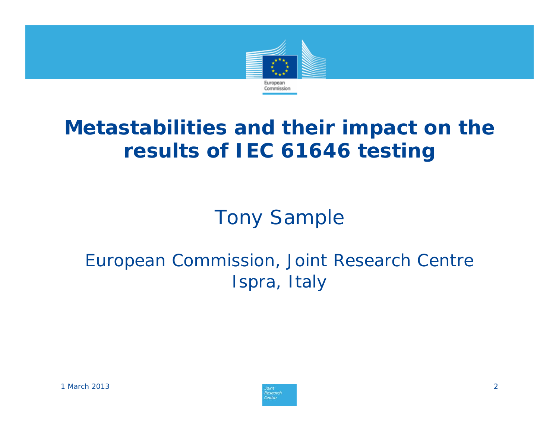

# **Metastabilities and their impact on the results of IEC 61646 testing**

Tony Sample

# European Commission, Joint Research Centre Ispra, Italy

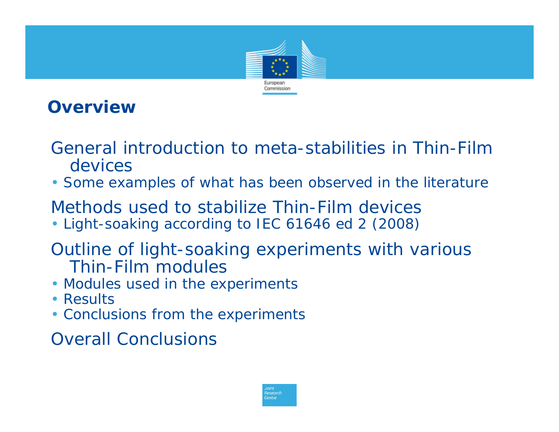

## **Overview**

- *General introduction to meta-stabilities in Thin-Film devices*
- *Some examples of what has been observed in the literature*
- *Methods used to stabilize Thin-Film devices*
- *Light-soaking according to IEC 61646 ed 2 (2008)*
- *Outline of light-soaking experiments with various Thin-Film modules*
- *Modules used in the experiments*
- *Results*
- *Conclusions from the experiments*

*Overall Conclusions*

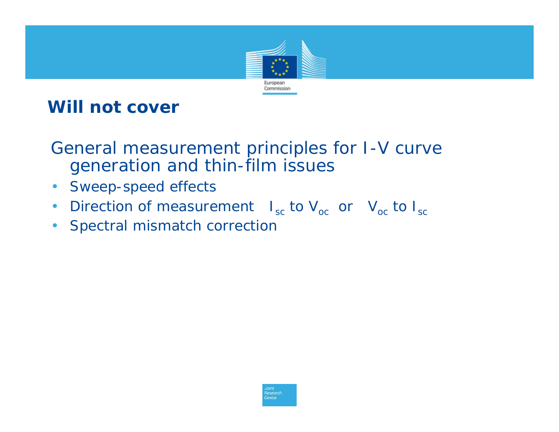

### **Will not cover**

*General measurement principles for I-V curve generation and thin-film issues*

- *Sweep-speed effects*
- *Direction of measurement* I<sub>sc</sub> to V<sub>oc</sub> or V<sub>oc</sub> to I<sub>sc</sub>
- *Spectral mismatch correction*

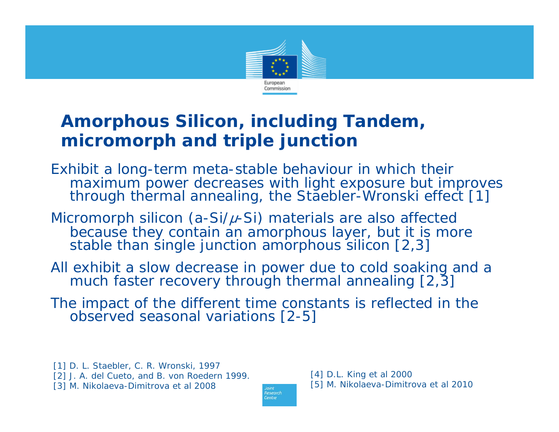

## **Amorphous Silicon, including Tandem, micromorph and triple junction**

*Exhibit a long-term meta-stable behaviour in which their through thermal annealing, the Staebler-Wronski effect [1]* 

*Micromorph silicon (a-Si/* μ*-Si) materials are also affected because they contain an amorphous layer, but it is more stable than single junction amorphous silicon [2,3]* 

*All exhibit a slow decrease in power due to cold soaking and a much faster recovery through thermal annealing [2,3]* 

*The impact of the different time constants is reflected in the observed seasonal variations [2-5]*

**lesearch** Centre

[1] D. L. Staebler, C. R. Wronski, 1997 [2] J. A. del Cueto, and B. von Roedern 1999. [3] M. Nikolaeva-Dimitrova et al 2008

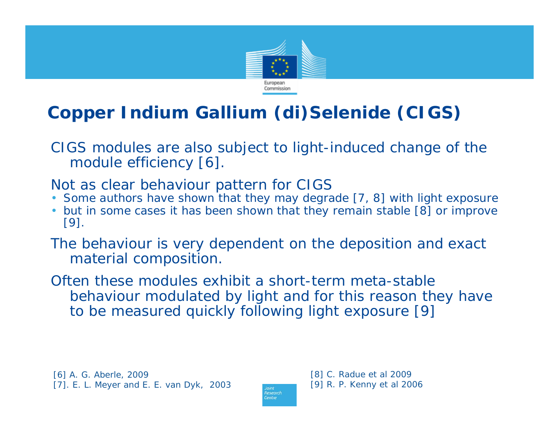

# **Copper Indium Gallium (di)Selenide (CIGS)**

*CIGS modules are also subject to light-induced change of the module efficiency [6].* 

*Not as clear behaviour pattern for CIGS*

- Some authors have shown that they may degrade [7, 8] with light exposure
- *but in some cases it has been shown that they remain stable [8] or improve [9].*

*The behaviour is very dependent on the deposition and exact material composition.* 

*Often these modules exhibit a short-term meta-stable behaviour modulated by light and for this reason they have to be measured quickly following light exposure [9]*

[6] A. G. Aberle, 2009 [7]. E. L. Meyer and E. E. van Dyk, 2003

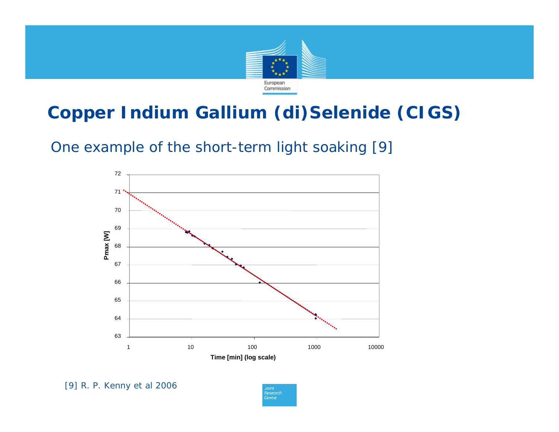

# **Copper Indium Gallium (di)Selenide (CIGS)**

*One example of the short-term light soaking [9]*



[9] R. P. Kenny et al 2006

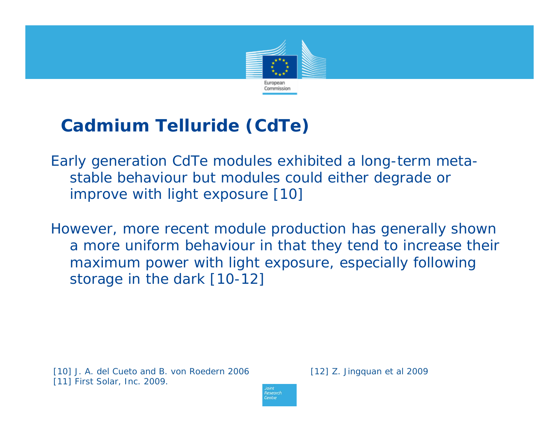

# **Cadmium Telluride (CdTe)**

*Early generation CdTe modules exhibited a long-term metastable behaviour but modules could either degrade or improve with light exposure [10]*

*However, more recent module production has generally shown a more uniform behaviour in that they tend to increase their maximum power with light exposure, especially following storage in the dark [10-12]*

[10] J. A. del Cueto and B. von Roedern 2006 [11] First Solar, Inc. 2009.

[12] Z. Jingquan et al 2009

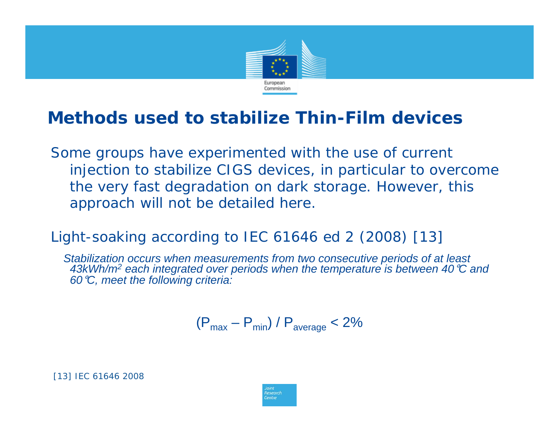

# **Methods used to stabilize Thin-Film devices**

*Some groups have experimented with the use of current injection to stabilize CIGS devices, in particular to overcome the very fast degradation on dark storage. However, this approach will not be detailed here.*

*Light-soaking according to IEC 61646 ed 2 (2008) [13]*

*Stabilization occurs when measurements from two consecutive periods of at least 43kWh/m2 each integrated over periods when the temperature is between 40* °*C and 60* °*C, meet the following criteria:*

$$
(P_{\text{max}} - P_{\text{min}}) / P_{\text{average}} < 2\%
$$

[13] IEC 61646 2008

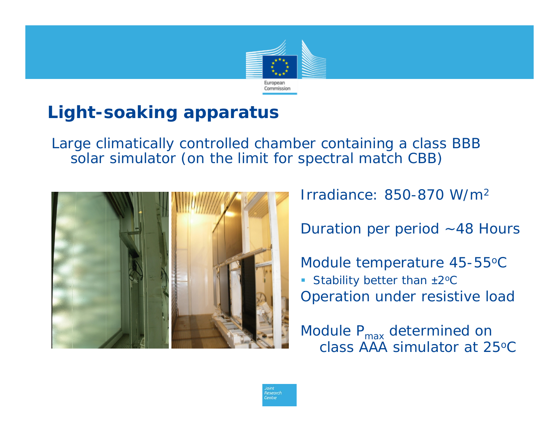

# **Light-soaking apparatus**

*Large climatically controlled chamber containing a class BBB solar simulator (on the limit for spectral match CBB)*

entre



Irradiance: 850-870 W/m2

Duration per period  $~148$  Hours

Module temperature 45-55 o C ■ Stability better than ±2<sup>o</sup>C Operation under resistive load

Module  $P_{\text{max}}$  determined on class AAA simulator at 25o C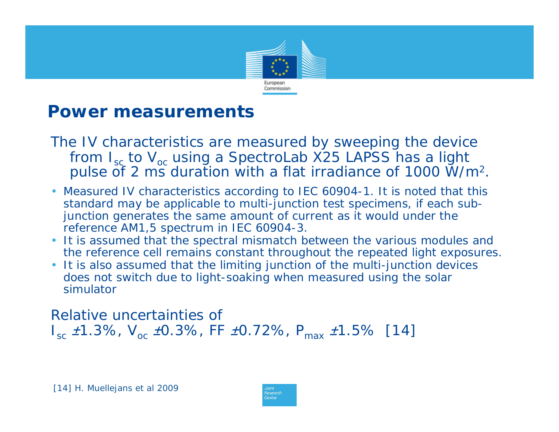

### **Power measurements**

- *The IV characteristics are measured by sweeping the device from Isc to Voc using a SpectroLab X25 LAPSS has a light pulse of 2 ms duration with a flat irradiance of 1000 W/m 2.*
- Measured IV characteristics according to IEC 60904-1. It is noted that this standard may be applicable to multi-junction test specimens, if each subjunction generates the same amount of current as it would under the reference AM1,5 spectrum in IEC 60904-3.
- It is assumed that the spectral mismatch between the various modules and the reference cell remains constant throughout the repeated light exposures.
- It is also assumed that the limiting junction of the multi-junction devices does not switch due to light-soaking when measured using the solar simulator

*Relative uncertainties of Isc* ±*1.3%, Voc* ±*0.3%, FF*  ±*0.72%, Pmax* <sup>±</sup>*1.5% [14]*

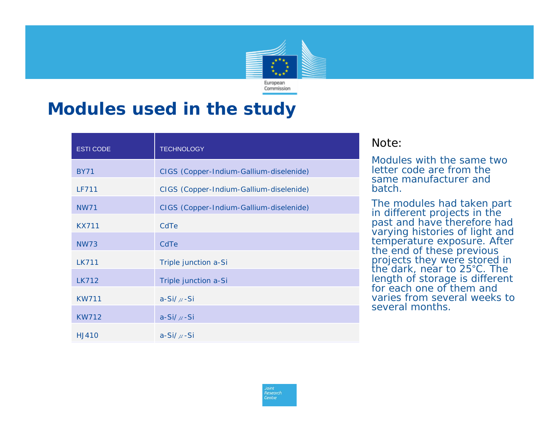

### **Modules used in the study**

| <b>ESTI CODE</b>  | <b>TECHNOLOGY</b>                       |
|-------------------|-----------------------------------------|
| <i>BY71</i>       | CIGS (Copper-Indium-Gallium-diselenide) |
| LF711             | CIGS (Copper-Indium-Gallium-diselenide) |
| <b>NW71</b>       | CIGS (Copper-Indium-Gallium-diselenide) |
| KX711             | CdTe                                    |
| NWZ3              | CdTe                                    |
| <b>LK711</b>      | Triple junction a-Si                    |
| IK712             | Triple junction a-Si                    |
| <b>KW711</b>      | $a-Si/\mu-Si$                           |
| <b>KW712</b>      | $a-Si/\mu-Si$                           |
| H <sub>1410</sub> | $a-Si/\mu-Si$                           |

#### Note:

Modules with the same two letter code are from the same manufacturer and batch.

The modules had taken part in different projects in the past and have therefore had varying histories of light and temperature exposure. After the end of these previous projects they were stored in<br>the dark, near to 25°C. The length of storage is different for each one of them and varies from several weeks to several months.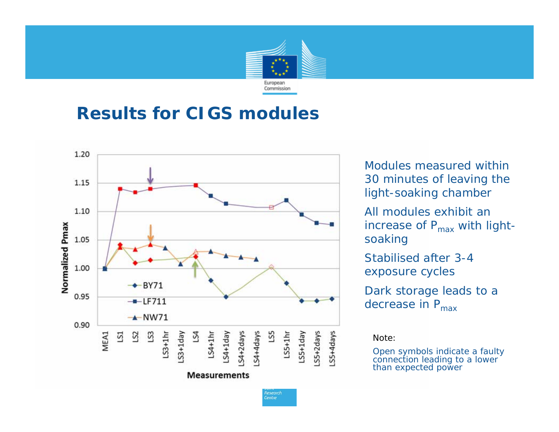

### **Results for CIGS modules**



Modules measured within 30 minutes of leaving the light-soaking chamber

All modules exhibit an increase of  $P_{max}$  with lightsoaking

Stabilised after 3-4 exposure cycles

Dark storage leads to a decrease in  $P_{\text{max}}$ 

Note:

Open symbols indicate a faulty connection leading to a lower<br>than expected power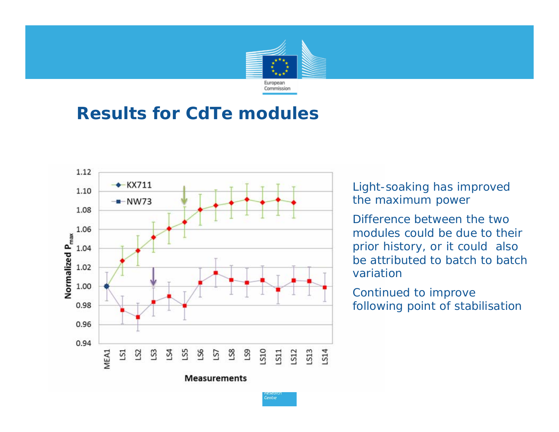

## **Results for CdTe modules**



Light-soaking has improved the maximum power

Difference between the two modules could be due to their prior history, or it could also be attributed to batch to batch variation

Continued to improve following point of stabilisation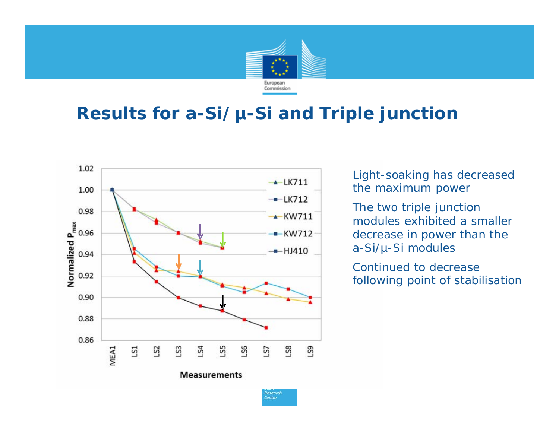

# **Results for a-Si/µ-Si and Triple junction**

Centre



Light-soaking has decreased the maximum power

The two triple junction modules exhibited a smaller decrease in power than the a-Si/µ-Si modules

Continued to decrease following point of stabilisation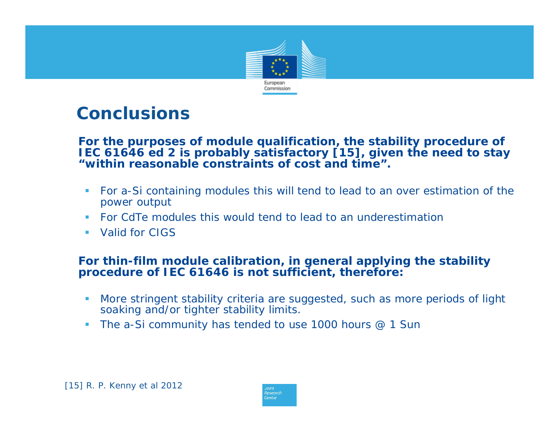

## **Conclusions**

**For the purposes of module qualification, the stability procedure of IEC 61646 ed 2 is probably satisfactory [15], given the need to stay "within reasonable constraints of cost and time".**

- $\mathcal{L}_{\mathcal{A}}$  For a-Si containing modules this will tend to lead to an over estimation of the power output
- Г For CdTe modules this would tend to lead to an underestimation
- Valid for CIGS

#### *For thin-film module calibration, in general applying the stability procedure of IEC 61646 is not sufficient, therefore:*

- × More stringent stability criteria are suggested, such as more periods of light soaking and/or tighter stability limits.
- $\mathcal{L}_{\mathcal{A}}$ The a-Si community has tended to use 1000 hours @ 1 Sun

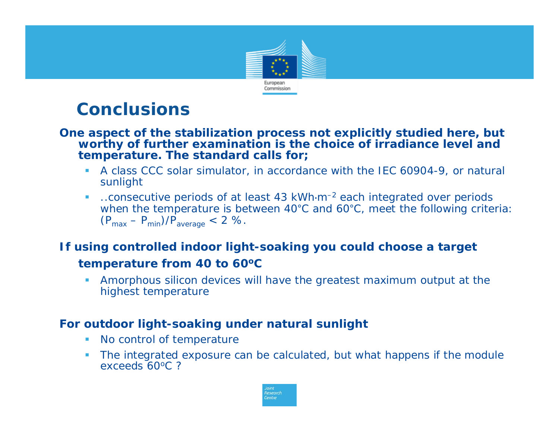

### **Conclusions**

#### **One aspect of the stabilization process not explicitly studied here, but worthy of further examination is the choice of irradiance level and temperature. The standard calls for;**

- A class CCC solar simulator, in accordance with the IEC 60904-9, or natural sunlight
- $\mathcal{L}_{\mathcal{A}}$  ..consecutive periods of at least 43 kWh⋅m–2 each integrated over periods when the temperature is between 40°C and 60°C, meet the following criteria:  $(P_{\text{max}} - P_{\text{min}})/P_{\text{average}} < 2$  %.

#### **If using controlled indoor light-soaking you could choose a target temperature from 40 to 60 o C**

 Amorphous silicon devices will have the greatest maximum output at the highest temperature

#### **For outdoor light-soaking under natural sunlight**

- $\mathcal{L}_{\mathcal{A}}$ No control of temperature
- The integrated exposure can be calculated, but what happens if the module exceeds 60oC ?

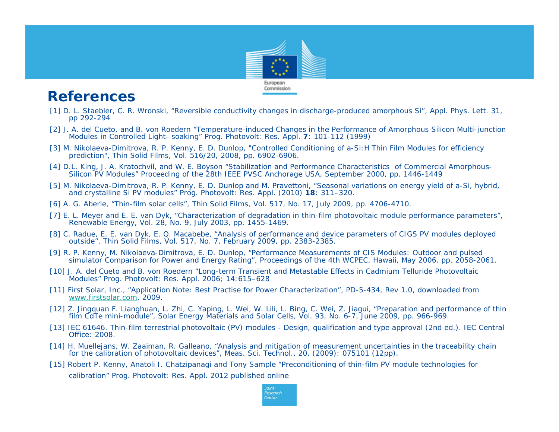

#### **References**

- [1] D. L. Staebler, C. R. Wronski, "Reversible conductivity changes in discharge-produced amorphous Si", Appl. Phys. Lett. 31, pp 292-294
- [2] J. A. del Cueto, and B. von Roedern "Temperature-induced Changes in the Performance of Amorphous Silicon Multi-junction Modules in Controlled Light- soaking" Prog. Photovolt: Res. Appl. **7**: 101-112 (1999)
- [3] M. Nikolaeva-Dimitrova, R. P. Kenny, E. D. Dunlop, "Controlled Conditioning of a-Si:H Thin Film Modules for efficiency prediction", Thin Solid Films, Vol. 516/20, 2008, pp. 6902-6906.
- [4] D.L. King, J. A. Kratochvil, and W. E. Boyson "Stabilization and Performance Characteristics of Commercial Amorphous-Silicon PV Modules" Proceeding of the 28th IEEE PVSC Anchorage USA, September 2000, pp. 1446-1449
- [5] M. Nikolaeva-Dimitrova, R. P. Kenny, E. D. Dunlop and M. Pravettoni, "Seasonal variations on energy yield of a-Si, hybrid, and crystalline Si PV modules" Prog. Photovolt: Res. Appl. (2010) **18**: 311–320.
- [6] A. G. Aberle, "Thin-film solar cells", Thin Solid Films, Vol. 517, No. 17, July 2009, pp. 4706-4710.
- [7] E. L. Meyer and E. E. van Dyk, "Characterization of degradation in thin-film photovoltaic module performance parameters", Renewable Energy, Vol. 28, No. 9, July 2003, pp. 1455-1469.
- [8] C. Radue, E. E. van Dyk, E. Q. Macabebe, "Analysis of performance and device parameters of CIGS PV modules deployed outside", Thin Solid Films, Vol. 517, No. 7, February 2009, pp. 2383-2385.
- [9] R. P. Kenny, M. Nikolaeva-Dimitrova, E. D. Dunlop, "Performance Measurements of CIS Modules: Outdoor and pulsed simulator Comparison for Power and Energy Rating", Proceedings of the 4th WCPEC, Hawaii, May 2006. pp. 2058-2061.
- [10] J. A. del Cueto and B. von Roedern "Long-term Transient and Metastable Effects in Cadmium Telluride Photovoltaic Modules" Prog. Photovolt: Res. Appl. 2006; 14:615–628
- [11] First Solar, Inc., "Application Note: Best Practise for Power Characterization", PD-5-434, Rev 1.0, downloaded from [www.firstsolar.com,](http://www.firstsolar.com/) 2009.
- [12] Z. Jingquan F. Lianghuan, L. Zhi, C. Yaping, L. Wei, W. Lili, L. Bing, C. Wei, Z. Jiagui, "Preparation and performance of thin film CdTe mini-module", Solar Energy Materials and Solar Cells, Vol. 93, No. 6-7, June 2009, pp. 966-969.
- [13] IEC 61646. Thin-film terrestrial photovoltaic (PV) modules Design, qualification and type approval (2nd ed.). IEC Central Office: 2008.
- [14] H. Muellejans, W. Zaaiman, R. Galleano, "Analysis and mitigation of measurement uncertainties in the traceability chain for the calibration of photovoltaic devices", Meas. Sci. Technol., 20, (2009): 075101 (12pp).
- [15] Robert P. Kenny, Anatoli I. Chatzipanagi and Tony Sample "Preconditioning of thin-film PV module technologies for calibration" Prog. Photovolt: Res. Appl. 2012 published online